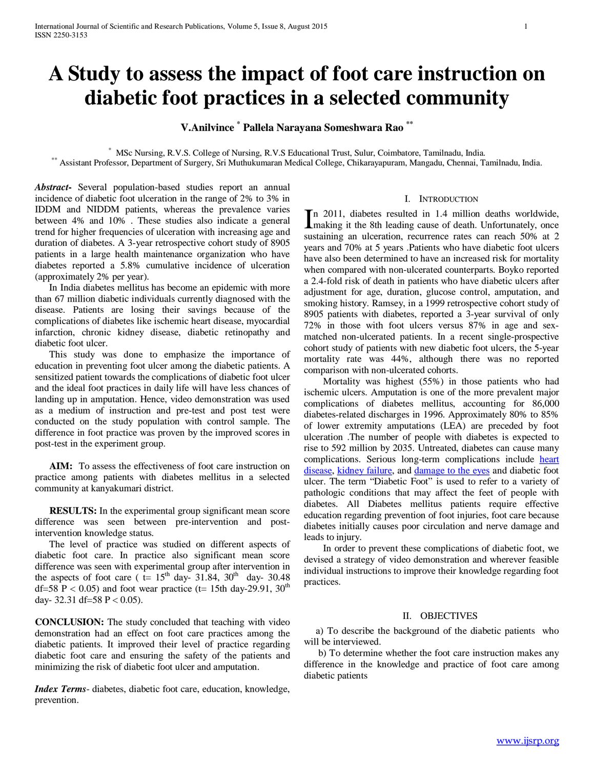# **A Study to assess the impact of foot care instruction on diabetic foot practices in a selected community**

**V.Anilvince \* Pallela Narayana Someshwara Rao \*\***

\* MSc Nursing, R.V.S. College of Nursing, R.V.S Educational Trust, Sulur, Coimbatore, Tamilnadu, India. \*\* Assistant Professor, Department of Surgery, Sri Muthukumaran Medical College, Chikarayapuram, Mangadu, Chennai, Tamilnadu, India.

*Abstract***-** Several population-based studies report an annual incidence of diabetic foot ulceration in the range of 2% to 3% in IDDM and NIDDM patients, whereas the prevalence varies between 4% and 10% . These studies also indicate a general trend for higher frequencies of ulceration with increasing age and duration of diabetes. A 3-year retrospective cohort study of 8905 patients in a large health maintenance organization who have diabetes reported a 5.8% cumulative incidence of ulceration (approximately 2% per year).

 In India diabetes mellitus has become an epidemic with more than 67 million diabetic individuals currently diagnosed with the disease. Patients are losing their savings because of the complications of diabetes like ischemic heart disease, myocardial infarction, chronic kidney disease, diabetic retinopathy and diabetic foot ulcer.

 This study was done to emphasize the importance of education in preventing foot ulcer among the diabetic patients. A sensitized patient towards the complications of diabetic foot ulcer and the ideal foot practices in daily life will have less chances of landing up in amputation. Hence, video demonstration was used as a medium of instruction and pre-test and post test were conducted on the study population with control sample. The difference in foot practice was proven by the improved scores in post-test in the experiment group.

 **AIM:** To assess the effectiveness of foot care instruction on practice among patients with diabetes mellitus in a selected community at kanyakumari district.

 **RESULTS:** In the experimental group significant mean score difference was seen between pre-intervention and postintervention knowledge status.

 The level of practice was studied on different aspects of diabetic foot care. In practice also significant mean score difference was seen with experimental group after intervention in the aspects of foot care ( $t= 15<sup>th</sup>$  day- 31.84, 30<sup>th</sup> day- 30.48 df=58 P < 0.05) and foot wear practice (t= 15th day-29.91, 30<sup>th</sup> day- 32.31 df=58 P < 0.05).

**CONCLUSION:** The study concluded that teaching with video demonstration had an effect on foot care practices among the diabetic patients. It improved their level of practice regarding diabetic foot care and ensuring the safety of the patients and minimizing the risk of diabetic foot ulcer and amputation.

*Index Terms*- diabetes, diabetic foot care, education, knowledge, prevention.

### I. INTRODUCTION

n 2011, diabetes resulted in 1.4 million deaths worldwide, In 2011, diabetes resulted in 1.4 million deaths worldwide,<br>
making it the 8th leading cause of death. Unfortunately, once sustaining an ulceration, recurrence rates can reach 50% at 2 years and 70% at 5 years .Patients who have diabetic foot ulcers have also been determined to have an increased risk for mortality when compared with non-ulcerated counterparts. Boyko reported a 2.4-fold risk of death in patients who have diabetic ulcers after adjustment for age, duration, glucose control, amputation, and smoking history. Ramsey, in a 1999 retrospective cohort study of 8905 patients with diabetes, reported a 3-year survival of only 72% in those with foot ulcers versus 87% in age and sexmatched non-ulcerated patients. In a recent single-prospective cohort study of patients with new diabetic foot ulcers, the 5-year mortality rate was 44%, although there was no reported comparison with non-ulcerated cohorts.

 Mortality was highest (55%) in those patients who had ischemic ulcers. Amputation is one of the more prevalent major complications of diabetes mellitus, accounting for 86,000 diabetes-related discharges in 1996. Approximately 80% to 85% of lower extremity amputations (LEA) are preceded by foot ulceration .The number of people with diabetes is expected to rise to 592 million by 2035. Untreated, diabetes can cause many complications. Serious long-term complications include [heart](http://en.wikipedia.org/wiki/Cardiovascular_disease)  [disease,](http://en.wikipedia.org/wiki/Cardiovascular_disease) [kidney failure,](http://en.wikipedia.org/wiki/Chronic_renal_failure) and [damage to the eyes](http://en.wikipedia.org/wiki/Diabetic_retinopathy) and diabetic foot ulcer. The term "Diabetic Foot" is used to refer to a variety of pathologic conditions that may affect the feet of people with diabetes. All Diabetes mellitus patients require effective education regarding prevention of foot injuries, foot care because diabetes initially causes poor circulation and nerve damage and leads to injury.

 In order to prevent these complications of diabetic foot, we devised a strategy of video demonstration and wherever feasible individual instructions to improve their knowledge regarding foot practices.

#### II. OBJECTIVES

 a) To describe the background of the diabetic patients who will be interviewed.

 b) To determine whether the foot care instruction makes any difference in the knowledge and practice of foot care among diabetic patients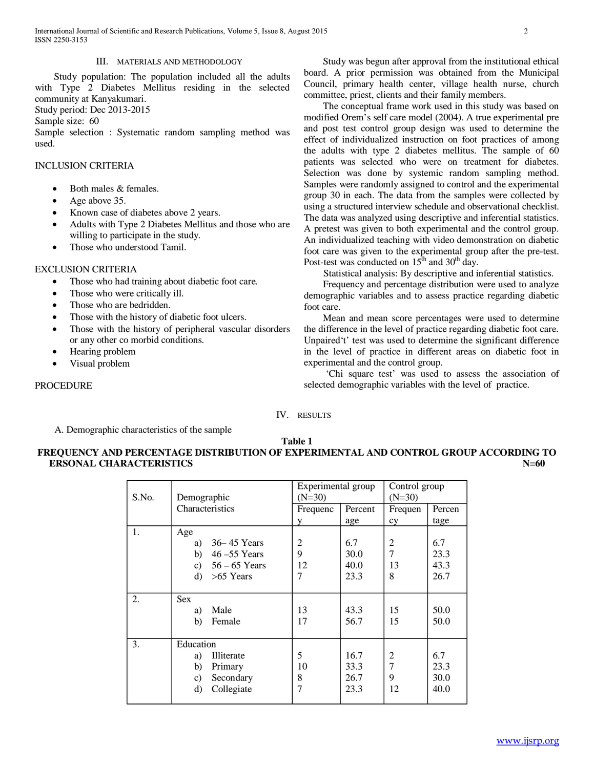International Journal of Scientific and Research Publications, Volume 5, Issue 8, August 2015 2 ISSN 2250-3153

#### III. MATERIALS AND METHODOLOGY

 Study population: The population included all the adults with Type 2 Diabetes Mellitus residing in the selected community at Kanyakumari.

Study period: Dec 2013-2015

Sample size: 60

Sample selection : Systematic random sampling method was used.

## INCLUSION CRITERIA

- Both males & females.
- Age above 35.
- Known case of diabetes above 2 years.
- Adults with Type 2 Diabetes Mellitus and those who are willing to participate in the study.
- Those who understood Tamil.

#### EXCLUSION CRITERIA

- Those who had training about diabetic foot care.
- Those who were critically ill.
- Those who are bedridden.
- Those with the history of diabetic foot ulcers.
- Those with the history of peripheral vascular disorders or any other co morbid conditions.
- Hearing problem
- Visual problem

#### PROCEDURE

 Study was begun after approval from the institutional ethical board. A prior permission was obtained from the Municipal Council, primary health center, village health nurse, church committee, priest, clients and their family members.

 The conceptual frame work used in this study was based on modified Orem's self care model (2004). A true experimental pre and post test control group design was used to determine the effect of individualized instruction on foot practices of among the adults with type 2 diabetes mellitus. The sample of 60 patients was selected who were on treatment for diabetes. Selection was done by systemic random sampling method. Samples were randomly assigned to control and the experimental group 30 in each. The data from the samples were collected by using a structured interview schedule and observational checklist. The data was analyzed using descriptive and inferential statistics. A pretest was given to both experimental and the control group. An individualized teaching with video demonstration on diabetic foot care was given to the experimental group after the pre-test. Post-test was conducted on  $15<sup>th</sup>$  and  $30<sup>th</sup>$  day.

Statistical analysis: By descriptive and inferential statistics.

 Frequency and percentage distribution were used to analyze demographic variables and to assess practice regarding diabetic foot care.

 Mean and mean score percentages were used to determine the difference in the level of practice regarding diabetic foot care. Unpaired't' test was used to determine the significant difference in the level of practice in different areas on diabetic foot in experimental and the control group.

 'Chi square test' was used to assess the association of selected demographic variables with the level of practice.

IV. RESULTS

A. Demographic characteristics of the sample

### **Table 1 FREQUENCY AND PERCENTAGE DISTRIBUTION OF EXPERIMENTAL AND CONTROL GROUP ACCORDING TO ERSONAL CHARACTERISTICS N=60**

|       |                        | Experimental group |         | Control group  |        |  |
|-------|------------------------|--------------------|---------|----------------|--------|--|
| S.No. | Demographic            | $(N=30)$           |         | $(N=30)$       |        |  |
|       | Characteristics        | Frequenc           | Percent | Frequen        | Percen |  |
|       |                        | v                  | age     | cy             | tage   |  |
| 1.    | Age                    |                    |         |                |        |  |
|       | $36 - 45$ Years<br>a)  | $\overline{2}$     | 6.7     | $\overline{2}$ | 6.7    |  |
|       | b)<br>$46 - 55$ Years  | 9                  | 30.0    | 7              | 23.3   |  |
|       | $56 - 65$ Years<br>c)  | 12                 | 40.0    | 13             | 43.3   |  |
|       | $\rm d$<br>$>65$ Years | 7                  | 23.3    | 8              | 26.7   |  |
|       |                        |                    |         |                |        |  |
| 2.    | <b>Sex</b>             |                    |         |                |        |  |
|       | Male<br>a)             | 13                 | 43.3    | 15             | 50.0   |  |
|       | Female<br>b)           | 17                 | 56.7    | 15             | 50.0   |  |
|       |                        |                    |         |                |        |  |
| 3.    | Education              |                    |         |                |        |  |
|       | Illiterate<br>a)       | 5                  | 16.7    | 2              | 6.7    |  |
|       | b)<br>Primary          | 10                 | 33.3    | 7              | 23.3   |  |
|       | Secondary<br>c)        | 8                  | 26.7    | 9              | 30.0   |  |
|       | Collegiate<br>d)       | 7                  | 23.3    | 12             | 40.0   |  |
|       |                        |                    |         |                |        |  |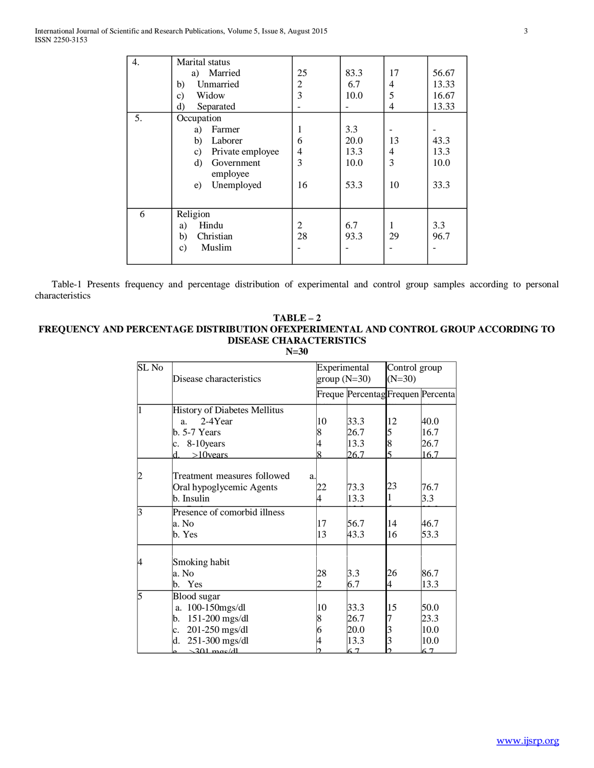| 4. | Marital status<br>a) Married<br>Unmarried<br>b)<br>Widow<br>c)<br>d)<br>Separated                                                    | 25<br>$\overline{c}$<br>3           | 83.3<br>6.7<br>10.0                 | 17<br>$\overline{4}$<br>5<br>4  | 56.67<br>13.33<br>16.67<br>13.33 |
|----|--------------------------------------------------------------------------------------------------------------------------------------|-------------------------------------|-------------------------------------|---------------------------------|----------------------------------|
| 5. | Occupation<br>Farmer<br>a)<br>b)<br>Laborer<br>Private employee<br>$\mathbf{c})$<br>Government<br>d)<br>employee<br>Unemployed<br>e) | 1<br>6<br>$\overline{4}$<br>3<br>16 | 3.3<br>20.0<br>13.3<br>10.0<br>53.3 | 13<br>$\overline{4}$<br>3<br>10 | 43.3<br>13.3<br>10.0<br>33.3     |
| 6  | Religion<br>Hindu<br>a)<br>Christian<br>b)<br>Muslim<br>$\mathbf{c})$                                                                | $\overline{2}$<br>28                | 6.7<br>93.3                         | 1<br>29                         | 3.3<br>96.7                      |

 Table-1 Presents frequency and percentage distribution of experimental and control group samples according to personal characteristics

# **TABLE – 2 FREQUENCY AND PERCENTAGE DISTRIBUTION OFEXPERIMENTAL AND CONTROL GROUP ACCORDING TO DISEASE CHARACTERISTICS**

**N=30**

| SL No | Disease characteristics             |    | Experimental<br>$group(N=30)$     | Control group<br>$(N=30)$ |      |  |
|-------|-------------------------------------|----|-----------------------------------|---------------------------|------|--|
|       |                                     |    | Freque Percentag Frequen Percenta |                           |      |  |
| 1     | <b>History of Diabetes Mellitus</b> |    |                                   |                           |      |  |
|       | 2-4Year<br>a <sub>z</sub>           | 10 | 33.3                              | 12                        | 40.0 |  |
|       | $b. 5-7$ Years                      | 8  | 26.7                              | 5                         | 16.7 |  |
|       | 8-10 years<br>c.                    |    | 13.3                              | 8                         | 26.7 |  |
|       | $>10$ vears<br>d.                   | 8  | 26.7                              | 5                         | 16.7 |  |
| 2     | Treatment measures followed         | a. |                                   |                           |      |  |
|       | Oral hypoglycemic Agents            | 22 | 73.3                              | 23                        | 76.7 |  |
|       | b. Insulin                          | 4  | 13.3                              |                           | 3.3  |  |
| 3     | Presence of comorbid illness        |    |                                   |                           |      |  |
|       | a. No                               | 17 | 56.7                              | 14                        | 46.7 |  |
|       | b. Yes                              | 13 | 43.3                              | 16                        | 53.3 |  |
| 4     | Smoking habit                       |    |                                   |                           |      |  |
|       | a. No                               | 28 | 3.3                               | 26                        | 86.7 |  |
|       | b. Yes                              | 2  | 6.7                               | 4                         | 13.3 |  |
| 5     | <b>Blood</b> sugar                  |    |                                   |                           |      |  |
|       | a. 100-150mgs/dl                    | 10 | 33.3                              | 15                        | 50.0 |  |
|       | $151-200$ mgs/dl<br>b.              | 8  | 26.7                              | 7                         | 23.3 |  |
|       | 201-250 mgs/dl<br>c.                | 6  | 20.0                              | 3                         | 10.0 |  |
|       | 251-300 mgs/dl<br>d.                | 4  | 13.3                              | 3                         | 10.0 |  |
|       | $\sim$ 301 mos/dl                   |    | 67                                |                           | 67   |  |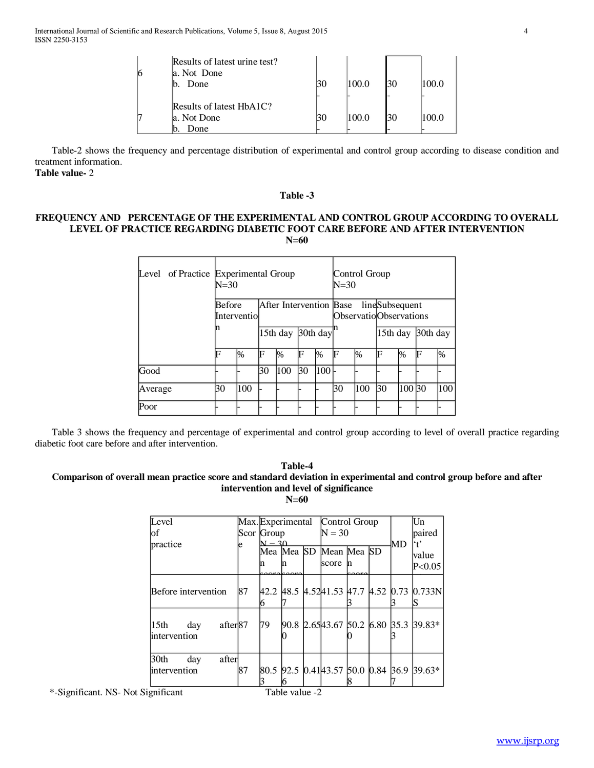| 6 | Results of latest urine test?<br>a. Not Done<br>Done<br>h | 100.0 | 30 | 100.0 |
|---|-----------------------------------------------------------|-------|----|-------|
|   | Results of latest HbA1C?                                  |       |    |       |
| 7 | a. Not Done                                               | 100.0 | 30 | 100.0 |
|   | Done                                                      |       |    |       |

 Table-2 shows the frequency and percentage distribution of experimental and control group according to disease condition and treatment information.

**Table value-** 2

#### **Table -3**

## **FREQUENCY AND PERCENTAGE OF THE EXPERIMENTAL AND CONTROL GROUP ACCORDING TO OVERALL LEVEL OF PRACTICE REGARDING DIABETIC FOOT CARE BEFORE AND AFTER INTERVENTION N=60**

| Level   | of Practice Experimental Group<br>$N = 30$              |      |                      |                                                  | Control Group<br>$N = 30$ |      |    |          |    |          |   |      |
|---------|---------------------------------------------------------|------|----------------------|--------------------------------------------------|---------------------------|------|----|----------|----|----------|---|------|
|         | After Intervention Base<br><b>Before</b><br>Interventio |      |                      | lineSubsequent<br><b>Observatio</b> Observations |                           |      |    |          |    |          |   |      |
|         | n                                                       |      | 30th day<br>15th day |                                                  |                           |      |    | 15th day |    | 30th day |   |      |
|         | F                                                       | $\%$ | F                    | $\%$                                             | F                         | $\%$ | F  | %        | F  | %        | F | $\%$ |
| Good    |                                                         |      | 30                   | 100                                              | 30                        | 100  |    |          |    |          |   |      |
| Average | 30                                                      | 100  |                      |                                                  |                           |      | 30 | 100      | 30 | 100 30   |   | 100  |
| Poor    |                                                         |      |                      |                                                  |                           |      |    |          |    |          |   |      |

 Table 3 shows the frequency and percentage of experimental and control group according to level of overall practice regarding diabetic foot care before and after intervention.

#### **Table-4 Comparison of overall mean practice score and standard deviation in experimental and control group before and after intervention and level of significance N=60**

| Level                                           |    | Max. Experimental Control Group |  |  |                        |  |  | Un |                                            |
|-------------------------------------------------|----|---------------------------------|--|--|------------------------|--|--|----|--------------------------------------------|
| of                                              |    | Scor Group                      |  |  | $N = 30$               |  |  |    | paired                                     |
| practice                                        | e  | $N - 30$                        |  |  |                        |  |  | MD | `t'                                        |
|                                                 |    |                                 |  |  | Mea Mea SD Mean Mea SD |  |  |    | value                                      |
|                                                 |    | n                               |  |  | score n                |  |  |    | P< 0.05                                    |
|                                                 |    |                                 |  |  |                        |  |  |    |                                            |
| Before intervention                             | 87 |                                 |  |  |                        |  |  |    | 42.2 48.5 4.5241.53 47.7 4.52 0.73 0.733N  |
|                                                 |    | h                               |  |  |                        |  |  |    |                                            |
| after <sup>87</sup><br>15th day<br>intervention |    | 79                              |  |  |                        |  |  |    | 90.8 2.6543.67 50.2 6.80 35.3 39.83*       |
| 30th<br>after<br>day                            | 87 |                                 |  |  |                        |  |  |    | 80.5 92.5 0.41 43.57 50.0 0.84 36.9 39.63* |
| intervention                                    |    |                                 |  |  |                        |  |  |    |                                            |
|                                                 |    |                                 |  |  |                        |  |  |    |                                            |

\*-Significant. NS- Not Significant Table value -2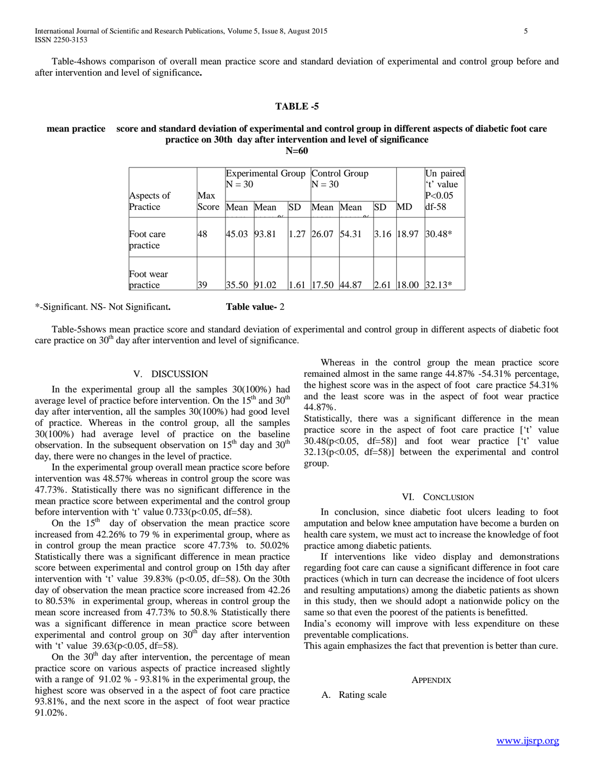Table-4shows comparison of overall mean practice score and standard deviation of experimental and control group before and after intervention and level of significance**.** 

#### **TABLE -5**

# **mean practice score and standard deviation of experimental and control group in different aspects of diabetic foot care practice on 30th day after intervention and level of significance**

**N=60**

| Aspects of            | Max   | $N = 30$ | Experimental Group   Control Group |      | $N = 30$ |                      |      |       | Un paired<br>'t' value<br>P< 0.05 |
|-----------------------|-------|----------|------------------------------------|------|----------|----------------------|------|-------|-----------------------------------|
| Practice              | Score | Mean     | Mean<br>$\sim$                     | SD   | Mean     | Mean<br>$\mathbf{a}$ | SD   | MD    | $df-58$                           |
| Foot care<br>practice | 48    | 45.03    | 93.81                              | 1.27 | 26.07    | 54.31                | 3.16 | 18.97 | 30.48*                            |
| Foot wear<br>practice | 39    | 35.50    | 91.02                              | 1.61 | 17.50    | 44.87                | 2.61 | 18.00 | $32.13*$                          |

\*-Significant. NS- Not Significant**. Table value-** 2

 Table-5shows mean practice score and standard deviation of experimental and control group in different aspects of diabetic foot care practice on  $30<sup>th</sup>$  day after intervention and level of significance.

## V. DISCUSSION

 In the experimental group all the samples 30(100%) had average level of practice before intervention. On the  $15<sup>th</sup>$  and  $30<sup>th</sup>$ day after intervention, all the samples 30(100%) had good level of practice. Whereas in the control group, all the samples 30(100%) had average level of practice on the baseline observation. In the subsequent observation on  $15<sup>th</sup>$  day and  $30<sup>th</sup>$ day, there were no changes in the level of practice.

 In the experimental group overall mean practice score before intervention was 48.57% whereas in control group the score was 47.73%. Statistically there was no significant difference in the mean practice score between experimental and the control group before intervention with 't' value 0.733(p<0.05, df=58).

On the  $15<sup>th</sup>$  day of observation the mean practice score increased from 42.26% to 79 % in experimental group, where as in control group the mean practice score 47.73% to. 50.02% Statistically there was a significant difference in mean practice score between experimental and control group on 15th day after intervention with 't' value  $39.83\%$  (p<0.05, df=58). On the 30th day of observation the mean practice score increased from 42.26 to 80.53% in experimental group, whereas in control group the mean score increased from 47.73% to 50.8.% Statistically there was a significant difference in mean practice score between experimental and control group on  $30<sup>th</sup>$  day after intervention with 't' value 39.63(p<0.05, df=58).

On the  $30<sup>th</sup>$  day after intervention, the percentage of mean practice score on various aspects of practice increased slightly with a range of 91.02 % - 93.81% in the experimental group, the highest score was observed in a the aspect of foot care practice 93.81%, and the next score in the aspect of foot wear practice 91.02%.

 Whereas in the control group the mean practice score remained almost in the same range 44.87% -54.31% percentage, the highest score was in the aspect of foot care practice 54.31% and the least score was in the aspect of foot wear practice 44.87%.

Statistically, there was a significant difference in the mean practice score in the aspect of foot care practice ['t' value 30.48(p<0.05, df=58)] and foot wear practice ['t' value  $32.13(p<0.05, df=58)$ ] between the experimental and control group.

#### VI. CONCLUSION

 In conclusion, since diabetic foot ulcers leading to foot amputation and below knee amputation have become a burden on health care system, we must act to increase the knowledge of foot practice among diabetic patients.

 If interventions like video display and demonstrations regarding foot care can cause a significant difference in foot care practices (which in turn can decrease the incidence of foot ulcers and resulting amputations) among the diabetic patients as shown in this study, then we should adopt a nationwide policy on the same so that even the poorest of the patients is benefitted.

India's economy will improve with less expenditure on these preventable complications.

This again emphasizes the fact that prevention is better than cure.

#### **APPENDIX**

A. Rating scale